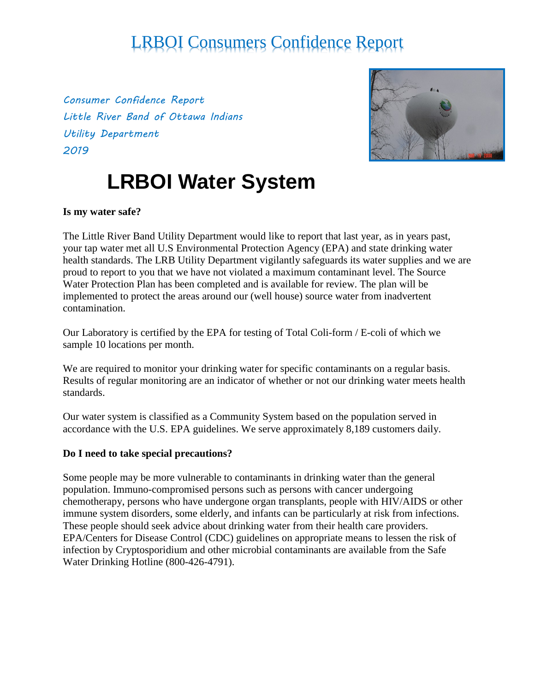*Consumer Confidence Report Little River Band of Ottawa Indians Utility Department 2019*



# **LRBOI Water System**

#### **Is my water safe?**

The Little River Band Utility Department would like to report that last year, as in years past, your tap water met all U.S Environmental Protection Agency (EPA) and state drinking water health standards. The LRB Utility Department vigilantly safeguards its water supplies and we are proud to report to you that we have not violated a maximum contaminant level. The Source Water Protection Plan has been completed and is available for review. The plan will be implemented to protect the areas around our (well house) source water from inadvertent contamination.

Our Laboratory is certified by the EPA for testing of Total Coli-form / E-coli of which we sample 10 locations per month.

We are required to monitor your drinking water for specific contaminants on a regular basis. Results of regular monitoring are an indicator of whether or not our drinking water meets health standards.

Our water system is classified as a Community System based on the population served in accordance with the U.S. EPA guidelines. We serve approximately 8,189 customers daily.

#### **Do I need to take special precautions?**

Some people may be more vulnerable to contaminants in drinking water than the general population. Immuno-compromised persons such as persons with cancer undergoing chemotherapy, persons who have undergone organ transplants, people with HIV/AIDS or other immune system disorders, some elderly, and infants can be particularly at risk from infections. These people should seek advice about drinking water from their health care providers. EPA/Centers for Disease Control (CDC) guidelines on appropriate means to lessen the risk of infection by Cryptosporidium and other microbial contaminants are available from the Safe Water Drinking Hotline (800-426-4791).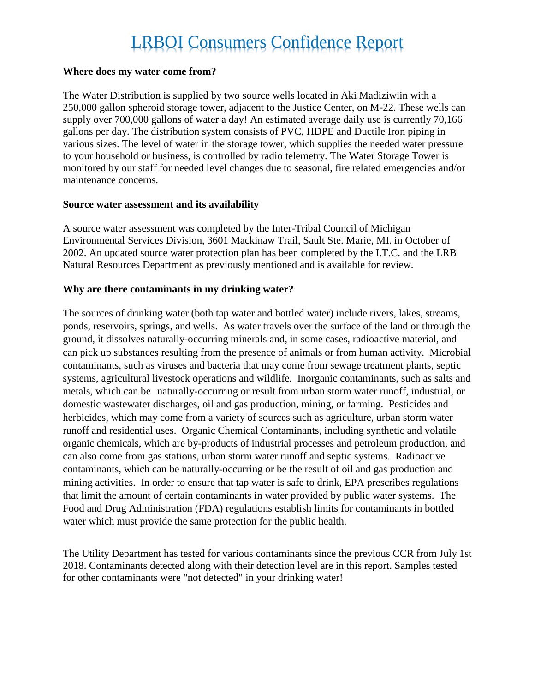#### **Where does my water come from?**

The Water Distribution is supplied by two source wells located in Aki Madiziwiin with a 250,000 gallon spheroid storage tower, adjacent to the Justice Center, on M-22. These wells can supply over 700,000 gallons of water a day! An estimated average daily use is currently 70,166 gallons per day. The distribution system consists of PVC, HDPE and Ductile Iron piping in various sizes. The level of water in the storage tower, which supplies the needed water pressure to your household or business, is controlled by radio telemetry. The Water Storage Tower is monitored by our staff for needed level changes due to seasonal, fire related emergencies and/or maintenance concerns.

#### **Source water assessment and its availability**

A source water assessment was completed by the Inter-Tribal Council of Michigan Environmental Services Division, 3601 Mackinaw Trail, Sault Ste. Marie, MI. in October of 2002. An updated source water protection plan has been completed by the I.T.C. and the LRB Natural Resources Department as previously mentioned and is available for review.

#### **Why are there contaminants in my drinking water?**

The sources of drinking water (both tap water and bottled water) include rivers, lakes, streams, ponds, reservoirs, springs, and wells. As water travels over the surface of the land or through the ground, it dissolves naturally-occurring minerals and, in some cases, radioactive material, and can pick up substances resulting from the presence of animals or from human activity. Microbial contaminants, such as viruses and bacteria that may come from sewage treatment plants, septic systems, agricultural livestock operations and wildlife. Inorganic contaminants, such as salts and metals, which can be naturally-occurring or result from urban storm water runoff, industrial, or domestic wastewater discharges, oil and gas production, mining, or farming. Pesticides and herbicides, which may come from a variety of sources such as agriculture, urban storm water runoff and residential uses. Organic Chemical Contaminants, including synthetic and volatile organic chemicals, which are by-products of industrial processes and petroleum production, and can also come from gas stations, urban storm water runoff and septic systems. Radioactive contaminants, which can be naturally-occurring or be the result of oil and gas production and mining activities. In order to ensure that tap water is safe to drink, EPA prescribes regulations that limit the amount of certain contaminants in water provided by public water systems. The Food and Drug Administration (FDA) regulations establish limits for contaminants in bottled water which must provide the same protection for the public health.

The Utility Department has tested for various contaminants since the previous CCR from July 1st 2018. Contaminants detected along with their detection level are in this report. Samples tested for other contaminants were "not detected" in your drinking water!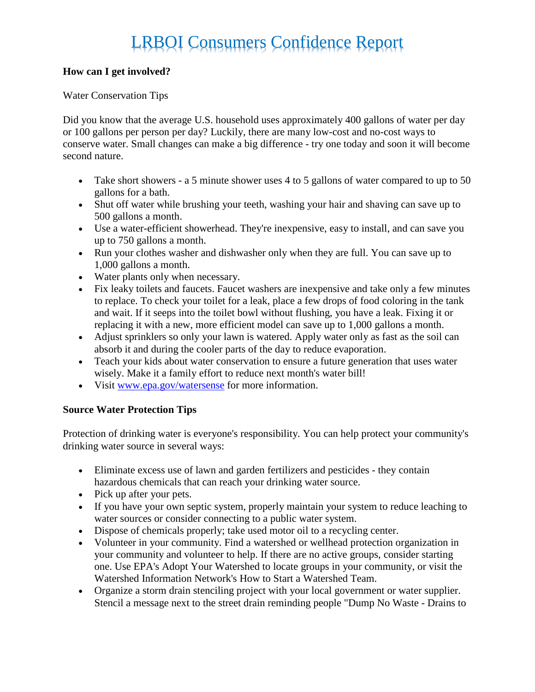#### **How can I get involved?**

#### Water Conservation Tips

Did you know that the average U.S. household uses approximately 400 gallons of water per day or 100 gallons per person per day? Luckily, there are many low-cost and no-cost ways to conserve water. Small changes can make a big difference - try one today and soon it will become second nature.

- Take short showers a 5 minute shower uses 4 to 5 gallons of water compared to up to 50 gallons for a bath.
- Shut off water while brushing your teeth, washing your hair and shaving can save up to 500 gallons a month.
- Use a water-efficient showerhead. They're inexpensive, easy to install, and can save you up to 750 gallons a month.
- Run your clothes washer and dishwasher only when they are full. You can save up to 1,000 gallons a month.
- Water plants only when necessary.
- Fix leaky toilets and faucets. Faucet washers are inexpensive and take only a few minutes to replace. To check your toilet for a leak, place a few drops of food coloring in the tank and wait. If it seeps into the toilet bowl without flushing, you have a leak. Fixing it or replacing it with a new, more efficient model can save up to 1,000 gallons a month.
- Adjust sprinklers so only your lawn is watered. Apply water only as fast as the soil can absorb it and during the cooler parts of the day to reduce evaporation.
- Teach your kids about water conservation to ensure a future generation that uses water wisely. Make it a family effort to reduce next month's water bill!
- Visit [www.epa.gov/watersense](http://www.epa.gov/watersense) for more information.

#### **Source Water Protection Tips**

Protection of drinking water is everyone's responsibility. You can help protect your community's drinking water source in several ways:

- Eliminate excess use of lawn and garden fertilizers and pesticides they contain hazardous chemicals that can reach your drinking water source.
- Pick up after your pets.
- If you have your own septic system, properly maintain your system to reduce leaching to water sources or consider connecting to a public water system.
- Dispose of chemicals properly; take used motor oil to a recycling center.
- Volunteer in your community. Find a watershed or wellhead protection organization in your community and volunteer to help. If there are no active groups, consider starting one. Use EPA's Adopt Your Watershed to locate groups in your community, or visit the Watershed Information Network's How to Start a Watershed Team.
- Organize a storm drain stenciling project with your local government or water supplier. Stencil a message next to the street drain reminding people "Dump No Waste - Drains to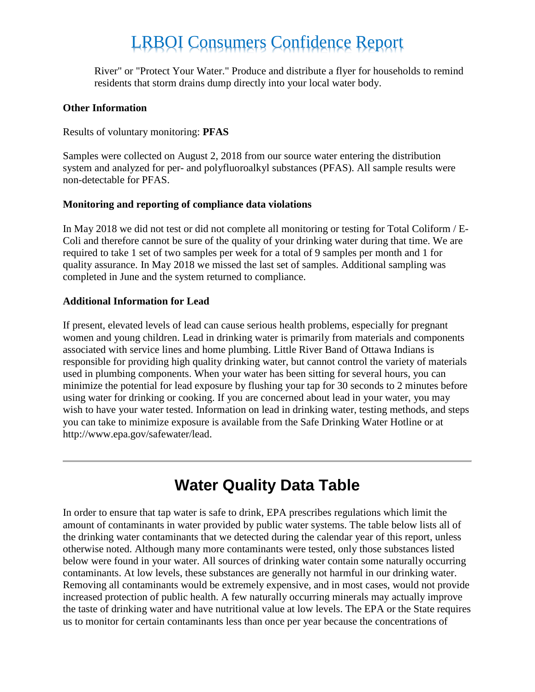River" or "Protect Your Water." Produce and distribute a flyer for households to remind residents that storm drains dump directly into your local water body.

#### **Other Information**

Results of voluntary monitoring: **PFAS**

Samples were collected on August 2, 2018 from our source water entering the distribution system and analyzed for per- and polyfluoroalkyl substances (PFAS). All sample results were non-detectable for PFAS.

#### **Monitoring and reporting of compliance data violations**

In May 2018 we did not test or did not complete all monitoring or testing for Total Coliform / E-Coli and therefore cannot be sure of the quality of your drinking water during that time. We are required to take 1 set of two samples per week for a total of 9 samples per month and 1 for quality assurance. In May 2018 we missed the last set of samples. Additional sampling was completed in June and the system returned to compliance.

#### **Additional Information for Lead**

If present, elevated levels of lead can cause serious health problems, especially for pregnant women and young children. Lead in drinking water is primarily from materials and components associated with service lines and home plumbing. Little River Band of Ottawa Indians is responsible for providing high quality drinking water, but cannot control the variety of materials used in plumbing components. When your water has been sitting for several hours, you can minimize the potential for lead exposure by flushing your tap for 30 seconds to 2 minutes before using water for drinking or cooking. If you are concerned about lead in your water, you may wish to have your water tested. Information on lead in drinking water, testing methods, and steps you can take to minimize exposure is available from the Safe Drinking Water Hotline or at http://www.epa.gov/safewater/lead.

### **Water Quality Data Table**

In order to ensure that tap water is safe to drink, EPA prescribes regulations which limit the amount of contaminants in water provided by public water systems. The table below lists all of the drinking water contaminants that we detected during the calendar year of this report, unless otherwise noted. Although many more contaminants were tested, only those substances listed below were found in your water. All sources of drinking water contain some naturally occurring contaminants. At low levels, these substances are generally not harmful in our drinking water. Removing all contaminants would be extremely expensive, and in most cases, would not provide increased protection of public health. A few naturally occurring minerals may actually improve the taste of drinking water and have nutritional value at low levels. The EPA or the State requires us to monitor for certain contaminants less than once per year because the concentrations of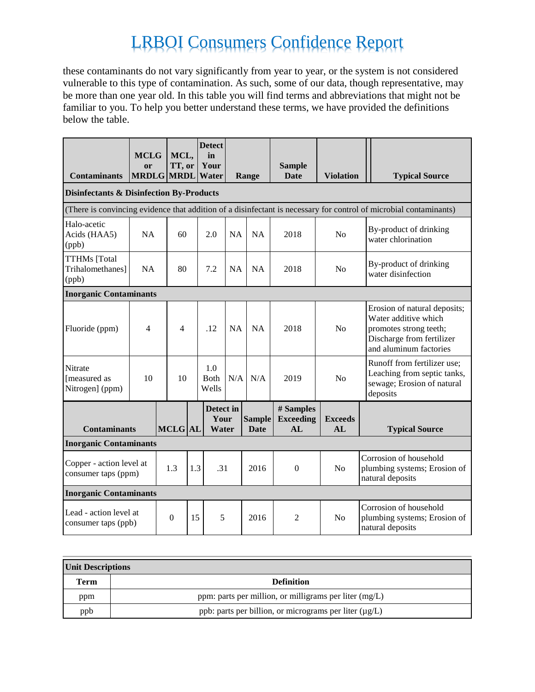these contaminants do not vary significantly from year to year, or the system is not considered vulnerable to this type of contamination. As such, some of our data, though representative, may be more than one year old. In this table you will find terms and abbreviations that might not be familiar to you. To help you better understand these terms, we have provided the definitions below the table.

| <b>Contaminants</b>                                 | <b>MCLG</b><br>or<br><b>MRDLG MRDL</b> |  | MCL,<br>TT, or         |  | <b>Detect</b><br>in<br>Your<br>Water |           | Range                 | <b>Sample</b><br><b>Date</b>         | <b>Violation</b>     |  | <b>Typical Source</b>                                                                                                                 |
|-----------------------------------------------------|----------------------------------------|--|------------------------|--|--------------------------------------|-----------|-----------------------|--------------------------------------|----------------------|--|---------------------------------------------------------------------------------------------------------------------------------------|
| <b>Disinfectants &amp; Disinfection By-Products</b> |                                        |  |                        |  |                                      |           |                       |                                      |                      |  |                                                                                                                                       |
|                                                     |                                        |  |                        |  |                                      |           |                       |                                      |                      |  | (There is convincing evidence that addition of a disinfectant is necessary for control of microbial contaminants)                     |
| Halo-acetic<br>Acids (HAA5)<br>(ppb)                | <b>NA</b>                              |  | 60                     |  | 2.0                                  | <b>NA</b> | NA                    | 2018                                 | N <sub>o</sub>       |  | By-product of drinking<br>water chlorination                                                                                          |
| <b>TTHMs</b> [Total<br>Trihalomethanes]<br>(ppb)    | <b>NA</b>                              |  | 80                     |  | 7.2                                  | <b>NA</b> | NA                    | 2018                                 | N <sub>o</sub>       |  | By-product of drinking<br>water disinfection                                                                                          |
| <b>Inorganic Contaminants</b>                       |                                        |  |                        |  |                                      |           |                       |                                      |                      |  |                                                                                                                                       |
| Fluoride (ppm)                                      | $\overline{4}$                         |  | 4                      |  | .12                                  | NA        | NA                    | 2018                                 | N <sub>o</sub>       |  | Erosion of natural deposits;<br>Water additive which<br>promotes strong teeth;<br>Discharge from fertilizer<br>and aluminum factories |
| Nitrate<br>[measured as<br>Nitrogen] (ppm)          | 10                                     |  | 10                     |  | 1.0<br><b>B</b> oth<br>Wells         | N/A       | N/A                   | 2019                                 | N <sub>o</sub>       |  | Runoff from fertilizer use;<br>Leaching from septic tanks,<br>sewage; Erosion of natural<br>deposits                                  |
| <b>Contaminants</b>                                 |                                        |  | <b>MCLG</b> AL         |  | Detect in<br>Your<br>Water           |           | <b>Sample</b><br>Date | # Samples<br><b>Exceeding</b><br>AI. | <b>Exceeds</b><br>AL |  | <b>Typical Source</b>                                                                                                                 |
| <b>Inorganic Contaminants</b>                       |                                        |  |                        |  |                                      |           |                       |                                      |                      |  |                                                                                                                                       |
| Copper - action level at<br>consumer taps (ppm)     |                                        |  | 1.3<br>1.3             |  | .31                                  |           | 2016                  | $\boldsymbol{0}$                     | No                   |  | Corrosion of household<br>plumbing systems; Erosion of<br>natural deposits                                                            |
| <b>Inorganic Contaminants</b>                       |                                        |  |                        |  |                                      |           |                       |                                      |                      |  |                                                                                                                                       |
| Lead - action level at<br>consumer taps (ppb)       |                                        |  | $\boldsymbol{0}$<br>15 |  | 5                                    |           | 2016                  | 2                                    | N <sub>0</sub>       |  | Corrosion of household<br>plumbing systems; Erosion of<br>natural deposits                                                            |

| <b>Unit Descriptions</b> |                                                             |  |  |  |  |  |
|--------------------------|-------------------------------------------------------------|--|--|--|--|--|
| Term                     | <b>Definition</b>                                           |  |  |  |  |  |
| ppm                      | ppm: parts per million, or milligrams per liter (mg/L)      |  |  |  |  |  |
| ppb                      | ppb: parts per billion, or micrograms per liter $(\mu g/L)$ |  |  |  |  |  |